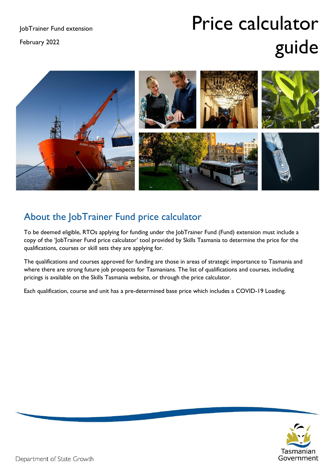February 2022

# Price calculator guide



# About the JobTrainer Fund price calculator

To be deemed eligible, RTOs applying for funding under the JobTrainer Fund (Fund) extension must include a copy of the 'JobTrainer Fund price calculator' tool provided by Skills Tasmania to determine the price for the qualifications, courses or skill sets they are applying for.

The qualifications and courses approved for funding are those in areas of strategic importance to Tasmania and where there are strong future job prospects for Tasmanians. The list of qualifications and courses, including pricings is available on the Skills Tasmania website, or through the price calculator.

Each qualification, course and unit has a pre-determined base price which includes a COVID-19 Loading.

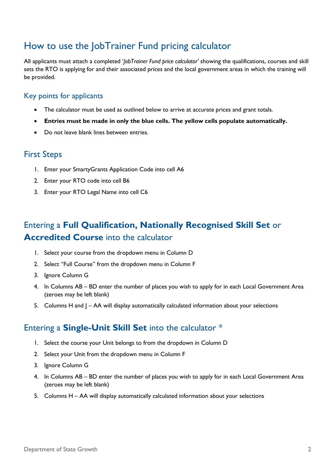## How to use the JobTrainer Fund pricing calculator

All applicants must attach a completed '*JobTrainer Fund price calculator'* showing the qualifications, courses and skill sets the RTO is applying for and their associated prices and the local government areas in which the training will be provided.

#### Key points for applicants

- The calculator must be used as outlined below to arrive at accurate prices and grant totals.
- **Entries must be made in only the blue cells. The yellow cells populate automatically.**
- Do not leave blank lines between entries.

### First Steps

- 1. Enter your SmartyGrants Application Code into cell A6
- 2. Enter your RTO code into cell B6
- 3. Enter your RTO Legal Name into cell C6

## Entering a **Full Qualification, Nationally Recognised Skill Set** or **Accredited Course** into the calculator

- 1. Select your course from the dropdown menu in Column D
- 2. Select "Full Course" from the dropdown menu in Column F
- 3. Ignore Column G
- 4. In Columns AB BD enter the number of places you wish to apply for in each Local Government Area (zeroes may be left blank)
- 5. Columns H and J AA will display automatically calculated information about your selections

### Entering a **Single-Unit Skill Set** into the calculator \*

- 1. Select the course your Unit belongs to from the dropdown in Column D
- 2. Select your Unit from the dropdown menu in Column F
- 3. Ignore Column G
- 4. In Columns AB BD enter the number of places you wish to apply for in each Local Government Area (zeroes may be left blank)
- 5. Columns H AA will display automatically calculated information about your selections